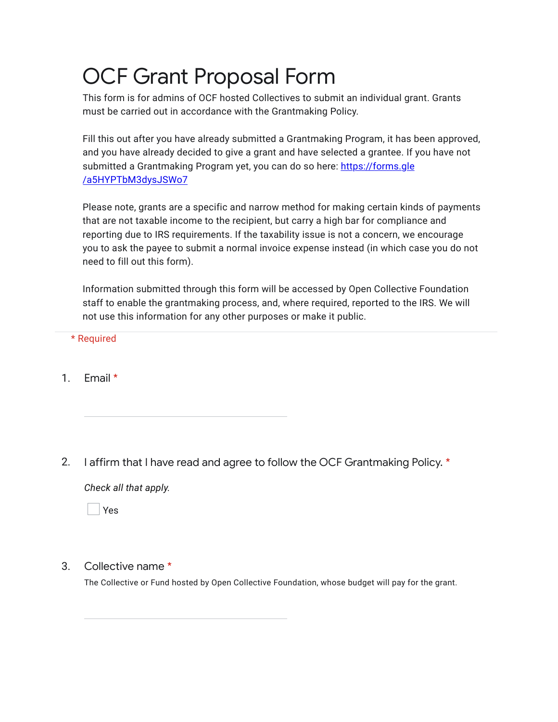# OCF Grant Proposal Form

This form is for admins of OCF hosted Collectives to submit an individual grant. Grants must be carried out in accordance with the Grantmaking Policy.

Fill this out after you have already submitted a Grantmaking Program, it has been approved, and you have already decided to give a grant and have selected a grantee. If you have not submitted a Grantmaking Program yet, you can do so here: [https://forms.gle](https://forms.gle/a5HYPTbM3dysJSWo7) [/a5HYPTbM3dysJSWo7](https://forms.gle/a5HYPTbM3dysJSWo7)

Please note, grants are a specific and narrow method for making certain kinds of payments that are not taxable income to the recipient, but carry a high bar for compliance and reporting due to IRS requirements. If the taxability issue is not a concern, we encourage you to ask the payee to submit a normal invoice expense instead (in which case you do not need to fill out this form).

Information submitted through this form will be accessed by Open Collective Foundation staff to enable the grantmaking process, and, where required, reported to the IRS. We will not use this information for any other purposes or make it public.

\* Required

1. Email \*

2. I affirm that I have read and agree to follow the OCF Grantmaking Policy. \*

*Check all that apply.*

Yes

3. Collective name \*

The Collective or Fund hosted by Open Collective Foundation, whose budget will pay for the grant.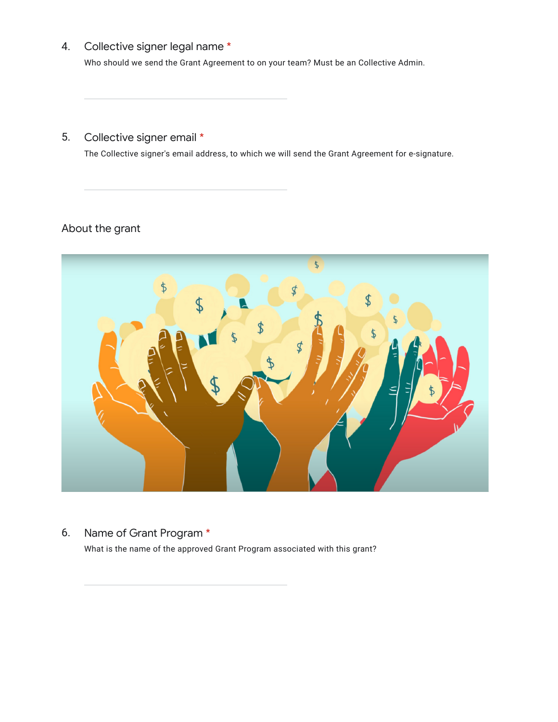4. Collective signer legal name \*

Who should we send the Grant Agreement to on your team? Must be an Collective Admin.

#### 5. Collective signer email \*

The Collective signer's email address, to which we will send the Grant Agreement for e-signature.

# About the grant



### 6. Name of Grant Program \*

What is the name of the approved Grant Program associated with this grant?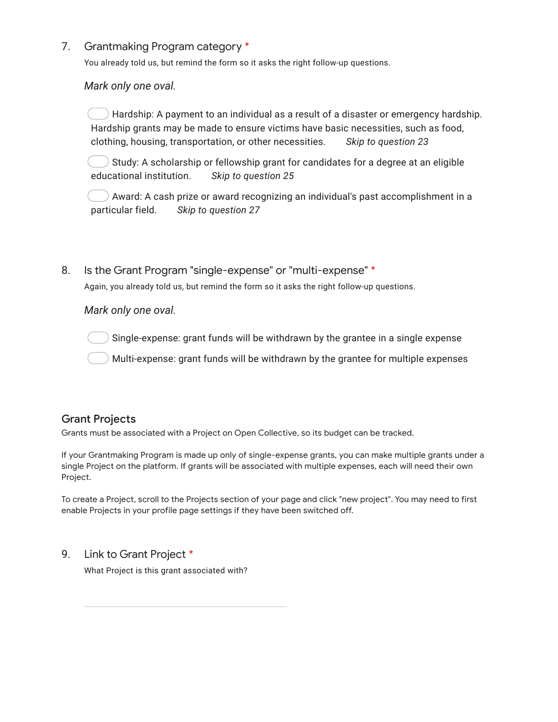#### 7. Grantmaking Program category \*

You already told us, but remind the form so it asks the right follow-up questions.

*Mark only one oval.*

Hardship: A payment to an individual as a result of a disaster or emergency hardship. Hardship grants may be made to ensure victims have basic necessities, such as food, clothing, housing, transportation, or other necessities. *Skip to question 23*

Study: A scholarship or fellowship grant for candidates for a degree at an eligible educational institution. *Skip to question 25*

Award: A cash prize or award recognizing an individual's past accomplishment in a particular field. *Skip to question 27*

8. Is the Grant Program "single-expense" or "multi-expense" \*

Again, you already told us, but remind the form so it asks the right follow-up questions.

*Mark only one oval.*

Single-expense: grant funds will be withdrawn by the grantee in a single expense

Multi-expense: grant funds will be withdrawn by the grantee for multiple expenses

### Grant Projects

Grants must be associated with a Project on Open Collective, so its budget can be tracked.

If your Grantmaking Program is made up only of single-expense grants, you can make multiple grants under a single Project on the platform. If grants will be associated with multiple expenses, each will need their own Project.

To create a Project, scroll to the Projects section of your page and click "new project". You may need to first enable Projects in your profile page settings if they have been switched off.

9. Link to Grant Project \*

What Project is this grant associated with?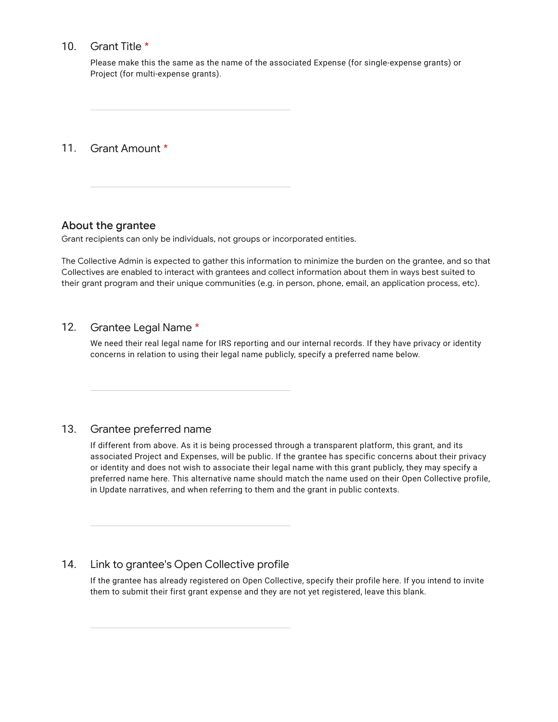#### 10. Grant Title \*

Please make this the same as the name of the associated Expense (for single-expense grants) or Project (for multi-expense grants).

11. Grant Amount \*

### About the grantee

Grant recipients can only be individuals, not groups or incorporated entities.

The Collective Admin is expected to gather this information to minimize the burden on the grantee, and so that Collectives are enabled to interact with grantees and collect information about them in ways best suited to their grant program and their unique communities (e.g. in person, phone, email, an application process, etc).

# 12. Grantee Legal Name \*

We need their real legal name for IRS reporting and our internal records. If they have privacy or identity concerns in relation to using their legal name publicly, specify a preferred name below.

#### 13. Grantee preferred name

If different from above. As it is being processed through a transparent platform, this grant, and its associated Project and Expenses, will be public. If the grantee has specific concerns about their privacy or identity and does not wish to associate their legal name with this grant publicly, they may specify a preferred name here. This alternative name should match the name used on their Open Collective profile, in Update narratives, and when referring to them and the grant in public contexts.

#### 14. Link to grantee's Open Collective profile

If the grantee has already registered on Open Collective, specify their profile here. If you intend to invite them to submit their first grant expense and they are not yet registered, leave this blank.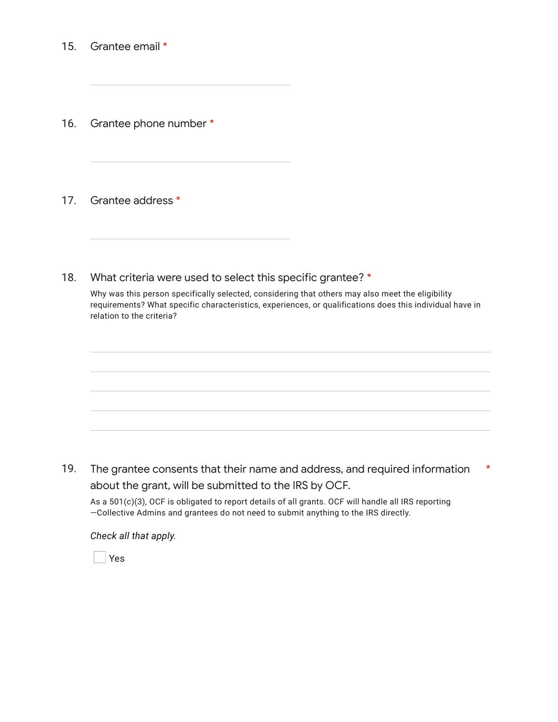- 15. Grantee email \*
- 16. Grantee phone number \*
- 17. Grantee address \*
- 18. What criteria were used to select this specific grantee? \*

Why was this person specifically selected, considering that others may also meet the eligibility requirements? What specific characteristics, experiences, or qualifications does this individual have in relation to the criteria?



19. The grantee consents that their name and address, and required information about the grant, will be submitted to the IRS by OCF. \*

As a 501(c)(3), OCF is obligated to report details of all grants. OCF will handle all IRS reporting —Collective Admins and grantees do not need to submit anything to the IRS directly.

*Check all that apply.*

Yes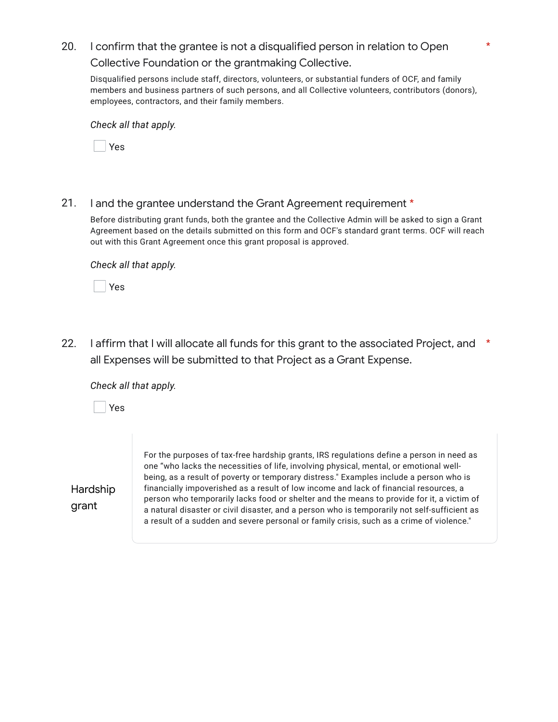#### 20. I confirm that the grantee is not a disqualified person in relation to Open

### Collective Foundation or the grantmaking Collective.

Disqualified persons include staff, directors, volunteers, or substantial funders of OCF, and family members and business partners of such persons, and all Collective volunteers, contributors (donors), employees, contractors, and their family members.

| Check all that apply. |  |  |  |  |
|-----------------------|--|--|--|--|
|-----------------------|--|--|--|--|



21. I and the grantee understand the Grant Agreement requirement \*

Before distributing grant funds, both the grantee and the Collective Admin will be asked to sign a Grant Agreement based on the details submitted on this form and OCF's standard grant terms. OCF will reach out with this Grant Agreement once this grant proposal is approved.

*Check all that apply.*

Yes

22. I affirm that I will allocate all funds for this grant to the associated Project, and \*all Expenses will be submitted to that Project as a Grant Expense.

*Check all that apply.*

Yes

Hardship grant

For the purposes of tax-free hardship grants, IRS regulations define a person in need as one "who lacks the necessities of life, involving physical, mental, or emotional wellbeing, as a result of poverty or temporary distress." Examples include a person who is financially impoverished as a result of low income and lack of financial resources, a person who temporarily lacks food or shelter and the means to provide for it, a victim of a natural disaster or civil disaster, and a person who is temporarily not self-sufficient as a result of a sudden and severe personal or family crisis, such as a crime of violence."

\*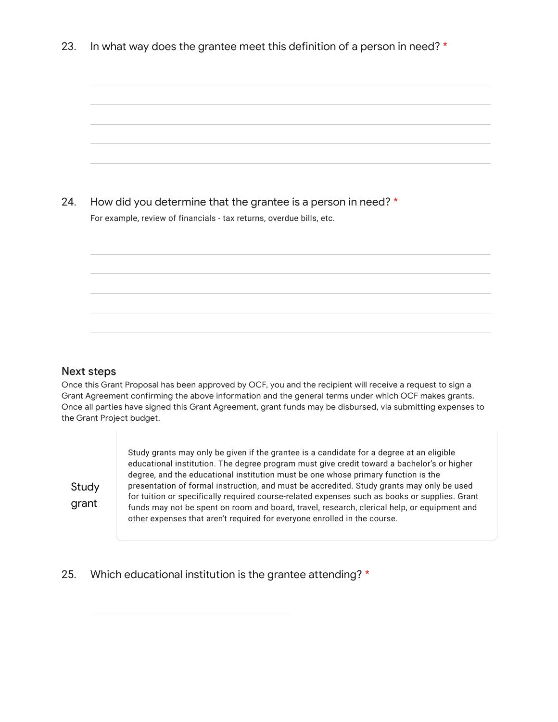23. In what way does the grantee meet this definition of a person in need? \*



### Next steps

Once this Grant Proposal has been approved by OCF, you and the recipient will receive a request to sign a Grant Agreement confirming the above information and the general terms under which OCF makes grants. Once all parties have signed this Grant Agreement, grant funds may be disbursed, via submitting expenses to the Grant Project budget.

Study grant

Study grants may only be given if the grantee is a candidate for a degree at an eligible educational institution. The degree program must give credit toward a bachelor's or higher degree, and the educational institution must be one whose primary function is the presentation of formal instruction, and must be accredited. Study grants may only be used for tuition or specifically required course-related expenses such as books or supplies. Grant funds may not be spent on room and board, travel, research, clerical help, or equipment and other expenses that aren't required for everyone enrolled in the course.

25. Which educational institution is the grantee attending? \*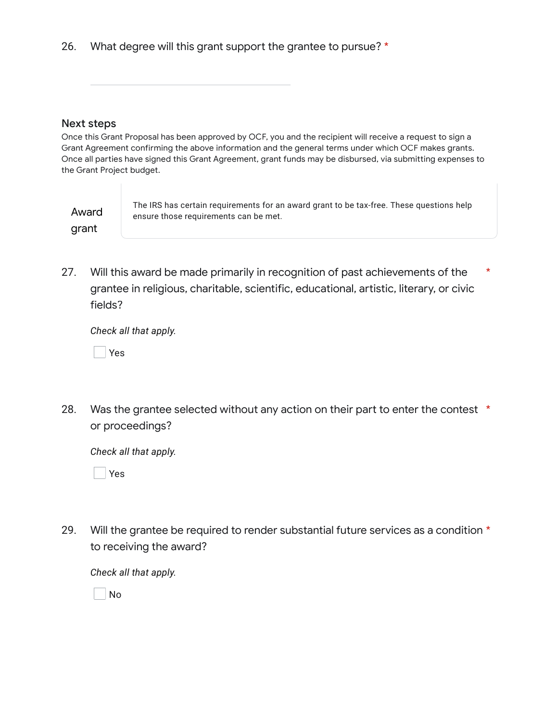26. What degree will this grant support the grantee to pursue? \*

### Next steps

Once this Grant Proposal has been approved by OCF, you and the recipient will receive a request to sign a Grant Agreement confirming the above information and the general terms under which OCF makes grants. Once all parties have signed this Grant Agreement, grant funds may be disbursed, via submitting expenses to the Grant Project budget.

| Award | The IRS has certain requirements for an award grant to be tax-free. These questions help<br>ensure those requirements can be met. |
|-------|-----------------------------------------------------------------------------------------------------------------------------------|
| arant |                                                                                                                                   |

27. Will this award be made primarily in recognition of past achievements of the grantee in religious, charitable, scientific, educational, artistic, literary, or civic fields? \*

*Check all that apply.*

Yes

28. Was the grantee selected without any action on their part to enter the contest  $\;\;^{\ast}$ or proceedings?

*Check all that apply.*

Yes

29. Will the grantee be required to render substantial future services as a condition \*to receiving the award?

*Check all that apply.*

No